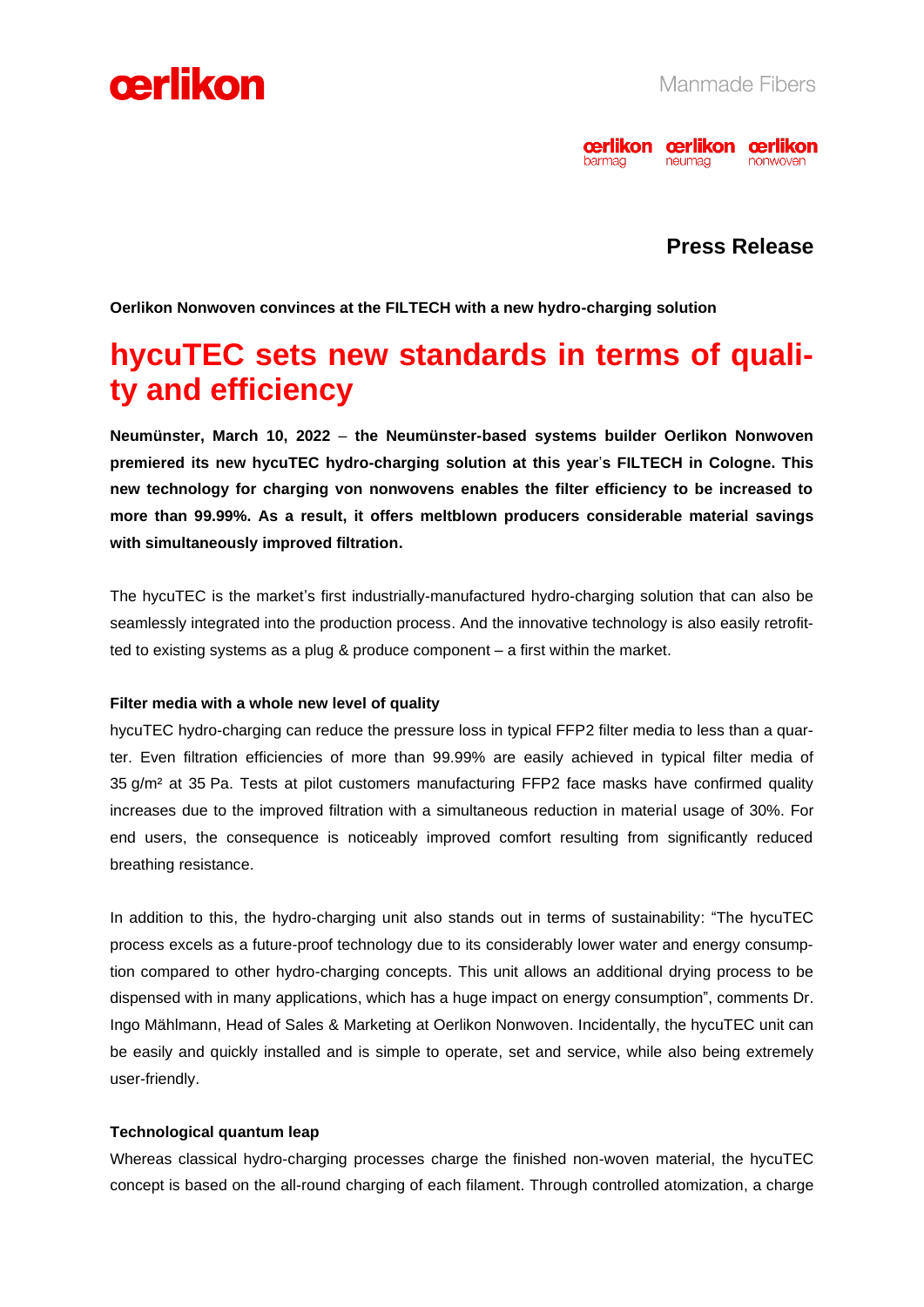



# **Press Release**

**Oerlikon Nonwoven convinces at the FILTECH with a new hydro-charging solution** 

# **hycuTEC sets new standards in terms of quality and efficiency**

**Neumünster, March 10, 2022** – **the Neumünster-based systems builder Oerlikon Nonwoven premiered its new hycuTEC hydro-charging solution at this year**'**s FILTECH in Cologne. This new technology for charging von nonwovens enables the filter efficiency to be increased to more than 99.99%. As a result, it offers meltblown producers considerable material savings with simultaneously improved filtration.** 

The hycuTEC is the market's first industrially-manufactured hydro-charging solution that can also be seamlessly integrated into the production process. And the innovative technology is also easily retrofitted to existing systems as a plug & produce component – a first within the market.

#### **Filter media with a whole new level of quality**

hycuTEC hydro-charging can reduce the pressure loss in typical FFP2 filter media to less than a quarter. Even filtration efficiencies of more than 99.99% are easily achieved in typical filter media of 35 g/m² at 35 Pa. Tests at pilot customers manufacturing FFP2 face masks have confirmed quality increases due to the improved filtration with a simultaneous reduction in material usage of 30%. For end users, the consequence is noticeably improved comfort resulting from significantly reduced breathing resistance.

In addition to this, the hydro-charging unit also stands out in terms of sustainability: "The hycuTEC process excels as a future-proof technology due to its considerably lower water and energy consumption compared to other hydro-charging concepts. This unit allows an additional drying process to be dispensed with in many applications, which has a huge impact on energy consumption", comments Dr. Ingo Mählmann, Head of Sales & Marketing at Oerlikon Nonwoven. Incidentally, the hycuTEC unit can be easily and quickly installed and is simple to operate, set and service, while also being extremely user-friendly.

## **Technological quantum leap**

Whereas classical hydro-charging processes charge the finished non-woven material, the hycuTEC concept is based on the all-round charging of each filament. Through controlled atomization, a charge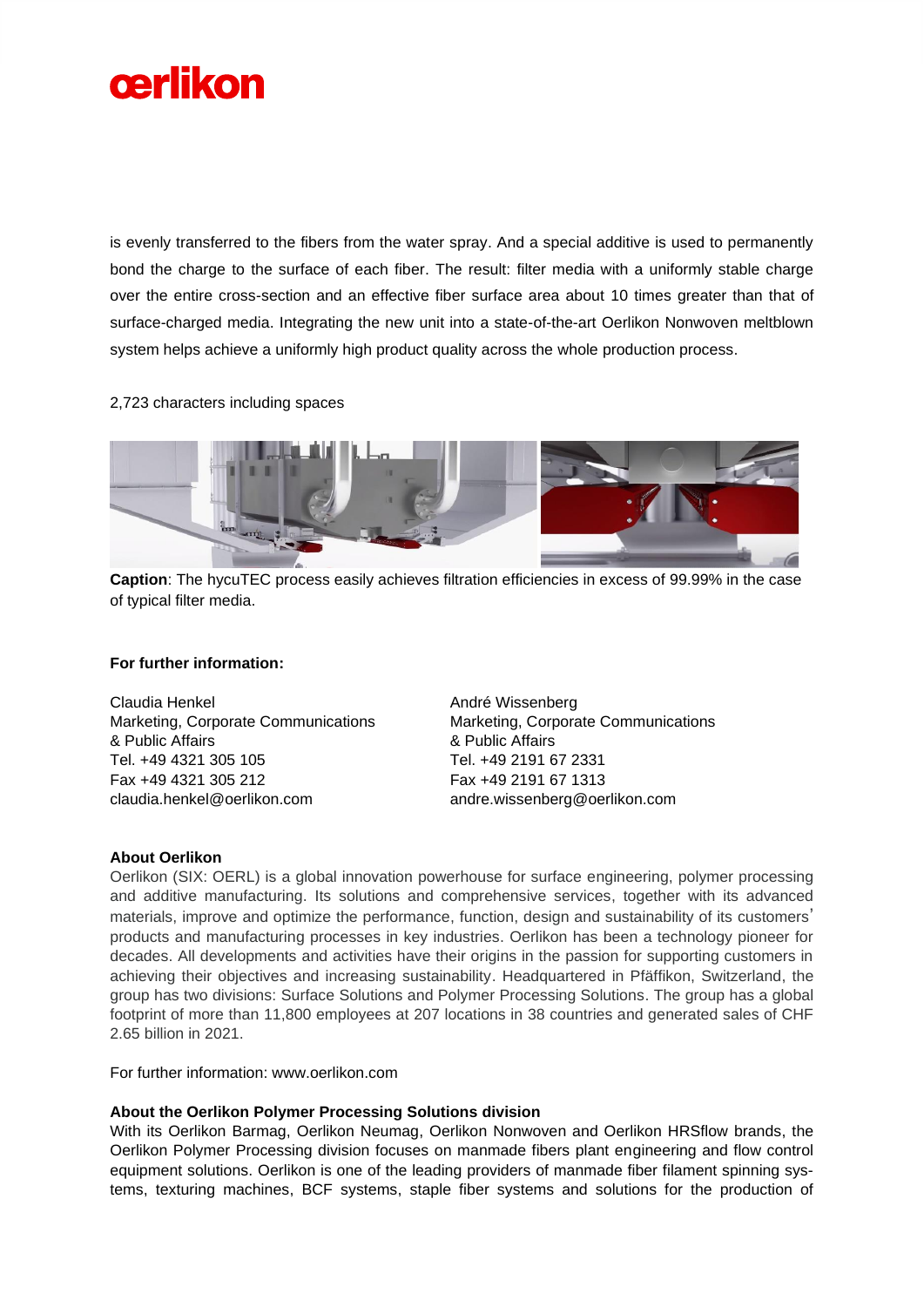

is evenly transferred to the fibers from the water spray. And a special additive is used to permanently bond the charge to the surface of each fiber. The result: filter media with a uniformly stable charge over the entire cross-section and an effective fiber surface area about 10 times greater than that of surface-charged media. Integrating the new unit into a state-of-the-art Oerlikon Nonwoven meltblown system helps achieve a uniformly high product quality across the whole production process.

#### 2,723 characters including spaces



**Caption**: The hycuTEC process easily achieves filtration efficiencies in excess of 99.99% in the case of typical filter media.

## **For further information:**

Claudia Henkel Marketing, Corporate Communications & Public Affairs Tel. +49 4321 305 105 Fax +49 4321 305 212 claudia.henkel@oerlikon.com

André Wissenberg Marketing, Corporate Communications & Public Affairs Tel. +49 2191 67 2331 Fax +49 2191 67 1313 andre.wissenberg@oerlikon.com

#### **About Oerlikon**

Oerlikon (SIX: OERL) is a global innovation powerhouse for surface engineering, polymer processing and additive manufacturing. Its solutions and comprehensive services, together with its advanced materials, improve and optimize the performance, function, design and sustainability of its customers' products and manufacturing processes in key industries. Oerlikon has been a technology pioneer for decades. All developments and activities have their origins in the passion for supporting customers in achieving their objectives and increasing sustainability. Headquartered in Pfäffikon, Switzerland, the group has two divisions: Surface Solutions and Polymer Processing Solutions. The group has a global footprint of more than 11,800 employees at 207 locations in 38 countries and generated sales of CHF 2.65 billion in 2021.

For further information: www.oerlikon.com

#### **About the Oerlikon Polymer Processing Solutions division**

With its Oerlikon Barmag, Oerlikon Neumag, Oerlikon Nonwoven and Oerlikon HRSflow brands, the Oerlikon Polymer Processing division focuses on manmade fibers plant engineering and flow control equipment solutions. Oerlikon is one of the leading providers of manmade fiber filament spinning systems, texturing machines, BCF systems, staple fiber systems and solutions for the production of